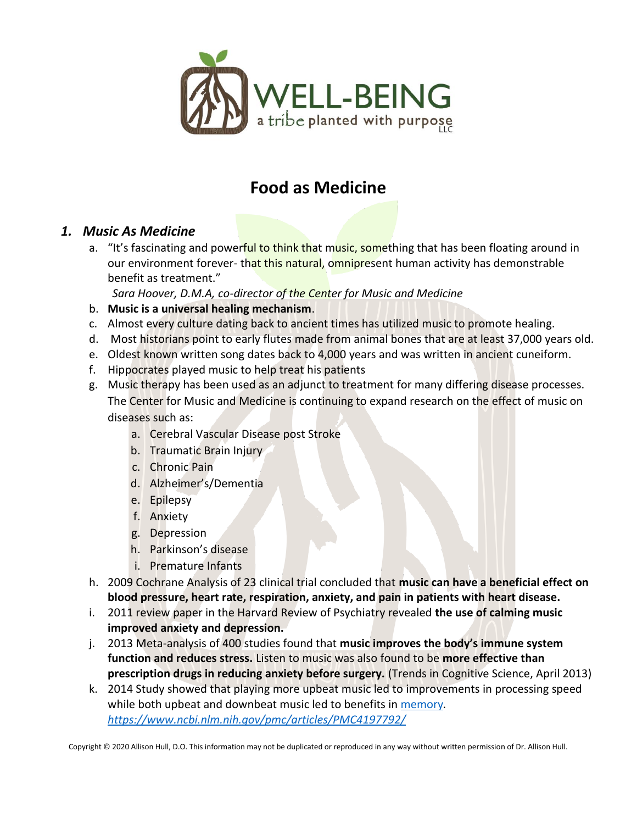

# **Food as Medicine**

## *1. Music As Medicine*

a. "It's fascinating and powerful to think that music, something that has been floating around in our environment forever- that this natural, omnipresent human activity has demonstrable benefit as treatment."

*Sara Hoover, D.M.A, co-director of the Center for Music and Medicine*

- b. **Music is a universal healing mechanism**.
- c. Almost every culture dating back to ancient times has utilized music to promote healing.
- d. Most historians point to early flutes made from animal bones that are at least 37,000 years old.
- e. Oldest known written song dates back to 4,000 years and was written in ancient cuneiform.
- f. Hippocrates played music to help treat his patients
- g. Music therapy has been used as an adjunct to treatment for many differing disease processes. The Center for Music and Medicine is continuing to expand research on the effect of music on diseases such as:
	- a. Cerebral Vascular Disease post Stroke
	- b. Traumatic Brain Injury
	- c. Chronic Pain
	- d. Alzheimer's/Dementia
	- e. Epilepsy
	- f. Anxiety
	- g. Depression
	- h. Parkinson's disease
	- i. Premature Infants
- h. 2009 Cochrane Analysis of 23 clinical trial concluded that **music can have a beneficial effect on blood pressure, heart rate, respiration, anxiety, and pain in patients with heart disease.**
- i. 2011 review paper in the Harvard Review of Psychiatry revealed **the use of calming music improved anxiety and depression.**
- j. 2013 Meta-analysis of 400 studies found that **music improves the body's immune system function and reduces stress.** Listen to music was also found to be **more effective than prescription drugs in reducing anxiety before surgery.** (Trends in Cognitive Science, April 2013)
- k. 2014 Study showed that playing more upbeat music led to improvements in processing speed while both upbeat and downbeat music led to benefits in [memory](https://www.verywellmind.com/what-is-memory-2795006)*. <https://www.ncbi.nlm.nih.gov/pmc/articles/PMC4197792/>*

Copyright © 2020 Allison Hull, D.O. This information may not be duplicated or reproduced in any way without written permission of Dr. Allison Hull.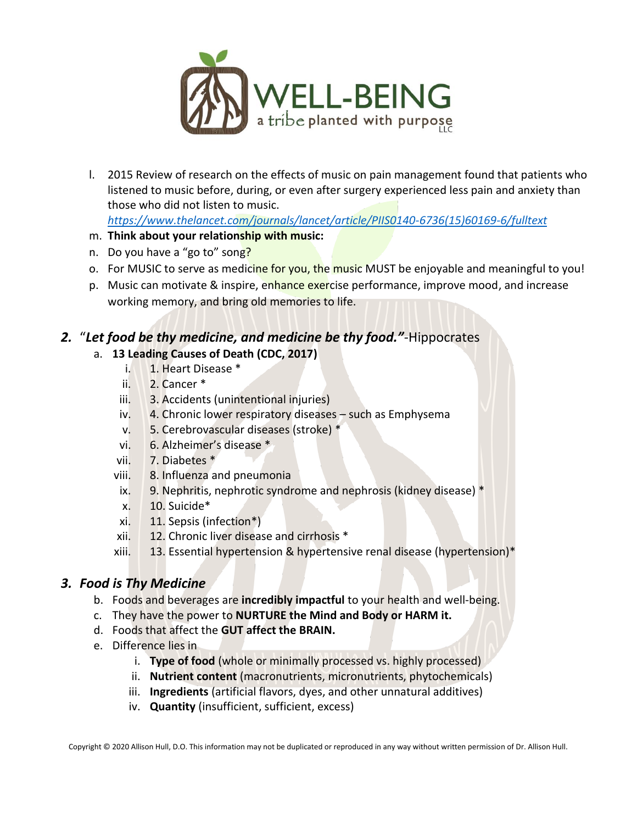

l. 2015 Review of research on the effects of music on pain management found that patients who listened to music before, during, or even after surgery experienced less pain and anxiety than those who did not listen to music.

*[https://www.thelancet.com/journals/lancet/article/PIIS0140-6736\(15\)60169-6/fulltext](https://www.thelancet.com/journals/lancet/article/PIIS0140-6736(15)60169-6/fulltext)*

- m. **Think about your relationship with music:**
- n. Do you have a "go to" song?
- o. For MUSIC to serve as medicine for you, the music MUST be enjoyable and meaningful to you!
- p. Music can motivate & inspire, enhance exercise performance, improve mood, and increase working memory, and bring old memories to life.

# *2.* "*Let food be thy medicine, and medicine be thy food."*-Hippocrates

#### a. **13 Leading Causes of Death (CDC, 2017)**

- i. 1. Heart Disease \*
- ii. 2. Cancer \*
- iii. 3. Accidents (unintentional injuries)
- iv. 4. Chronic lower respiratory diseases such as Emphysema
- v. 5. Cerebrovascular diseases (stroke) \*
- vi. 6. Alzheimer's disease \*
- vii. 7. Diabetes \*
- viii. 8. Influenza and pneumonia
- ix. 9. Nephritis, nephrotic syndrome and nephrosis (kidney disease) \*
- x. 10. Suicide\*
- xi. 11. Sepsis (infection\*)
- xii. 12. Chronic liver disease and cirrhosis \*
- xiii. 13. Essential hypertension & hypertensive renal disease (hypertension)\*

#### *3. Food is Thy Medicine*

- b. Foods and beverages are **incredibly impactful** to your health and well-being.
- c. They have the power to **NURTURE the Mind and Body or HARM it.**
- d. Foods that affect the **GUT affect the BRAIN.**
- e. Difference lies in
	- i. **Type of food** (whole or minimally processed vs. highly processed)
	- ii. **Nutrient content** (macronutrients, micronutrients, phytochemicals)
	- iii. **Ingredients** (artificial flavors, dyes, and other unnatural additives)
	- iv. **Quantity** (insufficient, sufficient, excess)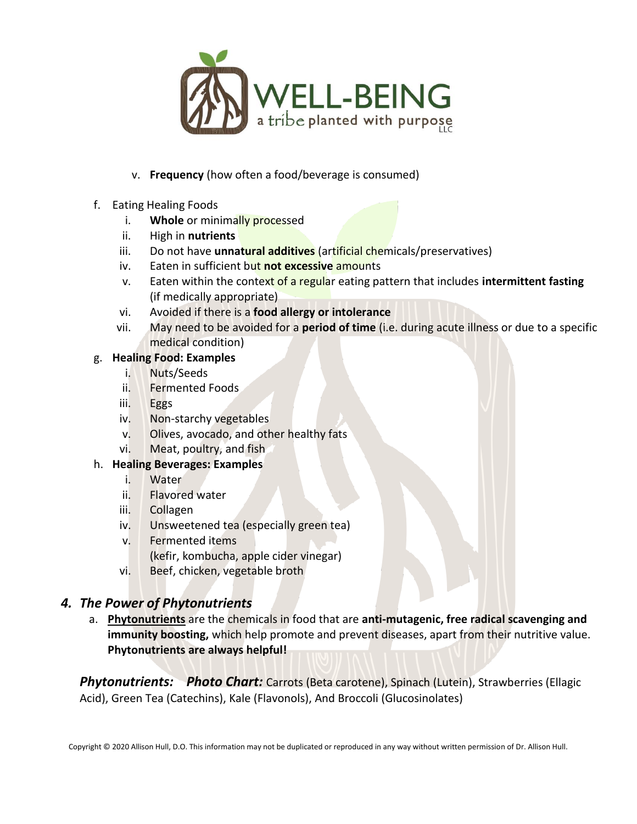

- v. **Frequency** (how often a food/beverage is consumed)
- f. Eating Healing Foods
	- i. **Whole** or minimally processed
	- ii. High in **nutrients**
	- iii. Do not have **unnatural additives** (artificial chemicals/preservatives)
	- iv. Eaten in sufficient but **not excessive** amounts
	- v. Eaten within the context of a regular eating pattern that includes **intermittent fasting** (if medically appropriate)
	- vi. Avoided if there is a **food allergy or intolerance**
	- vii. May need to be avoided for a **period of time** (i.e. during acute illness or due to a specific medical condition)

#### g. **Healing Food: Examples**

- i. Nuts/Seeds
- ii. Fermented Foods
- iii. Eggs
- iv. Non-starchy vegetables
- v. Olives, avocado, and other healthy fats
- vi. Meat, poultry, and fish

#### h. **Healing Beverages: Examples**

- i. Water
- ii. Flavored water
- iii. Collagen
- iv. Unsweetened tea (especially green tea)
- v. Fermented items
	- (kefir, kombucha, apple cider vinegar)
- vi. Beef, chicken, vegetable broth

## *4. The Power of Phytonutrients*

a. **Phytonutrients** are the chemicals in food that are **anti-mutagenic, free radical scavenging and immunity boosting,** which help promote and prevent diseases, apart from their nutritive value. **Phytonutrients are always helpful!**

**Phytonutrients:** Photo Chart: Carrots (Beta carotene), Spinach (Lutein), Strawberries (Ellagic Acid), Green Tea (Catechins), Kale (Flavonols), And Broccoli (Glucosinolates)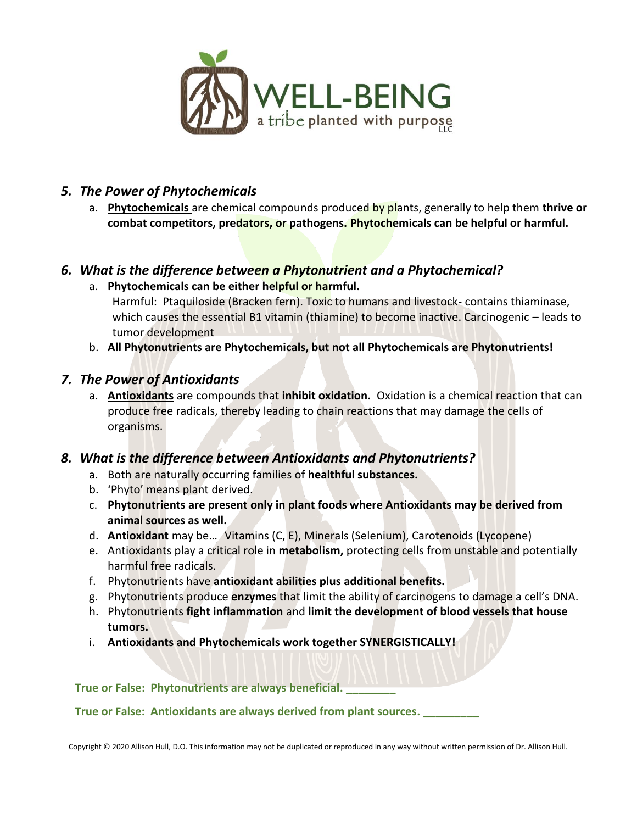

## *5. The Power of Phytochemicals*

a. **Phytochemicals** are chemical compounds produced by plants, generally to help them **thrive or combat competitors, predators, or pathogens. Phytochemicals can be helpful or harmful.** 

# *6. What is the difference between a Phytonutrient and a Phytochemical?*

- a. **Phytochemicals can be either helpful or harmful.**  Harmful: Ptaquiloside (Bracken fern). Toxic to humans and livestock- contains thiaminase, which causes the essential B1 vitamin (thiamine) to become inactive. Carcinogenic - leads to tumor development
- b. **All Phytonutrients are Phytochemicals, but not all Phytochemicals are Phytonutrients!**

## *7. The Power of Antioxidants*

a. **Antioxidants** are compounds that **inhibit oxidation.** Oxidation is a chemical reaction that can produce free radicals, thereby leading to chain reactions that may damage the cells of organisms.

## *8. What is the difference between Antioxidants and Phytonutrients?*

- a. Both are naturally occurring families of **healthful substances.**
- b. 'Phyto' means plant derived.
- c. **Phytonutrients are present only in plant foods where Antioxidants may be derived from animal sources as well.**
- d. **Antioxidant** may be… Vitamins (C, E), Minerals (Selenium), Carotenoids (Lycopene)
- e. Antioxidants play a critical role in **metabolism,** protecting cells from unstable and potentially harmful free radicals.
- f. Phytonutrients have **antioxidant abilities plus additional benefits.**
- g. Phytonutrients produce **enzymes** that limit the ability of carcinogens to damage a cell's DNA.
- h. Phytonutrients **fight inflammation** and **limit the development of blood vessels that house tumors.**
- i. **Antioxidants and Phytochemicals work together SYNERGISTICALLY!**

**True or False: Phytonutrients are always beneficial. \_\_\_\_\_\_\_\_**

**True or False: Antioxidants are always derived from plant sources. \_\_\_\_\_\_\_\_\_**

Copyright © 2020 Allison Hull, D.O. This information may not be duplicated or reproduced in any way without written permission of Dr. Allison Hull.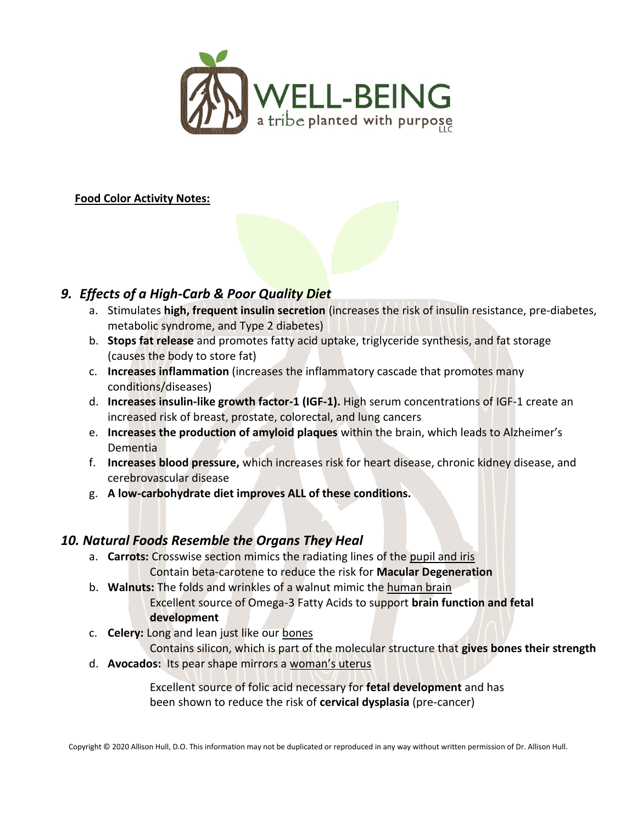

**Food Color Activity Notes:**



- a. Stimulates **high, frequent insulin secretion** (increases the risk of insulin resistance, pre-diabetes, metabolic syndrome, and Type 2 diabetes)
- b. **Stops fat release** and promotes fatty acid uptake, triglyceride synthesis, and fat storage (causes the body to store fat)
- c. **Increases inflammation** (increases the inflammatory cascade that promotes many conditions/diseases)
- d. **Increases insulin-like growth factor-1 (IGF-1).** High serum concentrations of IGF-1 create an increased risk of breast, prostate, colorectal, and lung cancers
- e. **Increases the production of amyloid plaques** within the brain, which leads to Alzheimer's Dementia
- f. **Increases blood pressure,** which increases risk for heart disease, chronic kidney disease, and cerebrovascular disease
- g. **A low-carbohydrate diet improves ALL of these conditions.**

## *10. Natural Foods Resemble the Organs They Heal*

- a. **Carrots:** Crosswise section mimics the radiating lines of the pupil and iris Contain beta-carotene to reduce the risk for **Macular Degeneration**
- b. **Walnuts:** The folds and wrinkles of a walnut mimic the human brain Excellent source of Omega-3 Fatty Acids to support **brain function and fetal development**
- c. **Celery:** Long and lean just like our bones

Contains silicon, which is part of the molecular structure that **gives bones their strength** d. **Avocados:** Its pear shape mirrors a woman's uterus

> Excellent source of folic acid necessary for **fetal development** and has been shown to reduce the risk of **cervical dysplasia** (pre-cancer)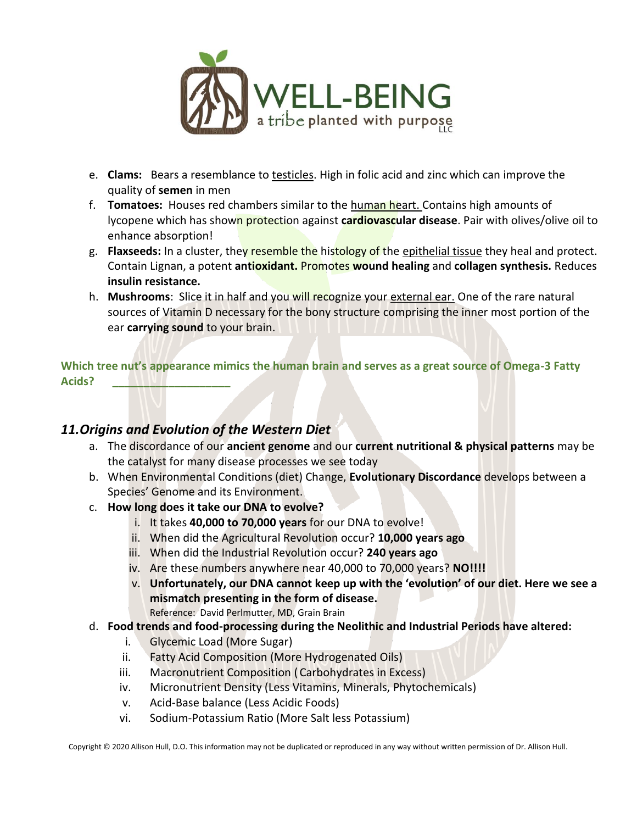

- e. **Clams:** Bears a resemblance to testicles. High in folic acid and zinc which can improve the quality of **semen** in men
- f. **Tomatoes:** Houses red chambers similar to the human heart. Contains high amounts of lycopene which has shown protection against **cardiovascular disease**. Pair with olives/olive oil to enhance absorption!
- g. **Flaxseeds:** In a cluster, they resemble the histology of the epithelial tissue they heal and protect. Contain Lignan, a potent **antioxidant.** Promotes **wound healing** and **collagen synthesis.** Reduces **insulin resistance.**
- h. **Mushrooms**: Slice it in half and you will recognize your external ear. One of the rare natural sources of Vitamin D necessary for the bony structure comprising the inner most portion of the ear **carrying sound** to your brain.

**Which tree nut's appearance mimics the human brain and serves as a great source of Omega-3 Fatty Acids? \_\_\_\_\_\_\_\_\_\_\_\_\_\_\_\_\_\_\_**

#### *11.Origins and Evolution of the Western Diet*

- a. The discordance of our **ancient genome** and our **current nutritional & physical patterns** may be the catalyst for many disease processes we see today
- b. When Environmental Conditions (diet) Change, **Evolutionary Discordance** develops between a Species' Genome and its Environment.
- c. **How long does it take our DNA to evolve?** 
	- i. It takes **40,000 to 70,000 years** for our DNA to evolve!
	- ii. When did the Agricultural Revolution occur? **10,000 years ago**
	- iii. When did the Industrial Revolution occur? **240 years ago**
	- iv. Are these numbers anywhere near 40,000 to 70,000 years? **NO!!!!**
	- v. **Unfortunately, our DNA cannot keep up with the 'evolution' of our diet. Here we see a mismatch presenting in the form of disease.**  Reference: David Perlmutter, MD, Grain Brain
- d. **Food trends and food-processing during the Neolithic and Industrial Periods have altered:**
	- i. Glycemic Load (More Sugar)
	- ii. Fatty Acid Composition (More Hydrogenated Oils)
	- iii. Macronutrient Composition ( Carbohydrates in Excess)
	- iv. Micronutrient Density (Less Vitamins, Minerals, Phytochemicals)
	- v. Acid-Base balance (Less Acidic Foods)
	- vi. Sodium-Potassium Ratio (More Salt less Potassium)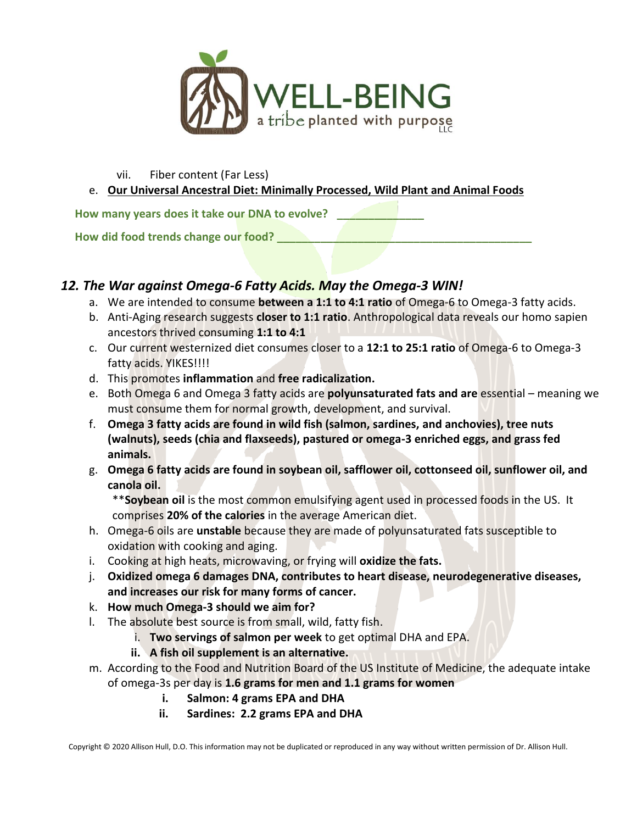

vii. Fiber content (Far Less)

e. **Our Universal Ancestral Diet: Minimally Processed, Wild Plant and Animal Foods** 

**How many years does it take our DNA to evolve? \_\_\_\_\_\_\_\_\_\_\_\_\_\_**

**How did food trends change our food? \_\_\_\_\_\_\_\_\_\_\_\_\_\_\_\_\_\_\_\_\_\_\_\_\_\_\_\_\_\_\_\_\_\_\_\_\_\_\_\_\_**

## *12. The War against Omega-6 Fatty Acids. May the Omega-3 WIN!*

- a. We are intended to consume **between a 1:1 to 4:1 ratio** of Omega-6 to Omega-3 fatty acids.
- b. Anti-Aging research suggests **closer to 1:1 ratio**. Anthropological data reveals our homo sapien ancestors thrived consuming **1:1 to 4:1**
- c. Our current westernized diet consumes closer to a **12:1 to 25:1 ratio** of Omega-6 to Omega-3 fatty acids. YIKES!!!!
- d. This promotes **inflammation** and **free radicalization.**
- e. Both Omega 6 and Omega 3 fatty acids are **polyunsaturated fats and are** essential meaning we must consume them for normal growth, development, and survival.
- f. **Omega 3 fatty acids are found in wild fish (salmon, sardines, and anchovies), tree nuts (walnuts), seeds (chia and flaxseeds), pastured or omega-3 enriched eggs, and grass fed animals.**
- g. **Omega 6 fatty acids are found in soybean oil, safflower oil, cottonseed oil, sunflower oil, and canola oil.**

\*\***Soybean oil** is the most common emulsifying agent used in processed foods in the US. It comprises **20% of the calories** in the average American diet.

- h. Omega-6 oils are **unstable** because they are made of polyunsaturated fats susceptible to oxidation with cooking and aging.
- i. Cooking at high heats, microwaving, or frying will **oxidize the fats.**
- j. **Oxidized omega 6 damages DNA, contributes to heart disease, neurodegenerative diseases, and increases our risk for many forms of cancer.**
- k. **How much Omega-3 should we aim for?**
- l. The absolute best source is from small, wild, fatty fish.
	- i. **Two servings of salmon per week** to get optimal DHA and EPA.
	- **ii. A fish oil supplement is an alternative.**
- m. According to the Food and Nutrition Board of the US Institute of Medicine, the adequate intake of omega-3s per day is **1.6 grams for men and 1.1 grams for women**
	- **i. Salmon: 4 grams EPA and DHA**
	- **ii. Sardines: 2.2 grams EPA and DHA**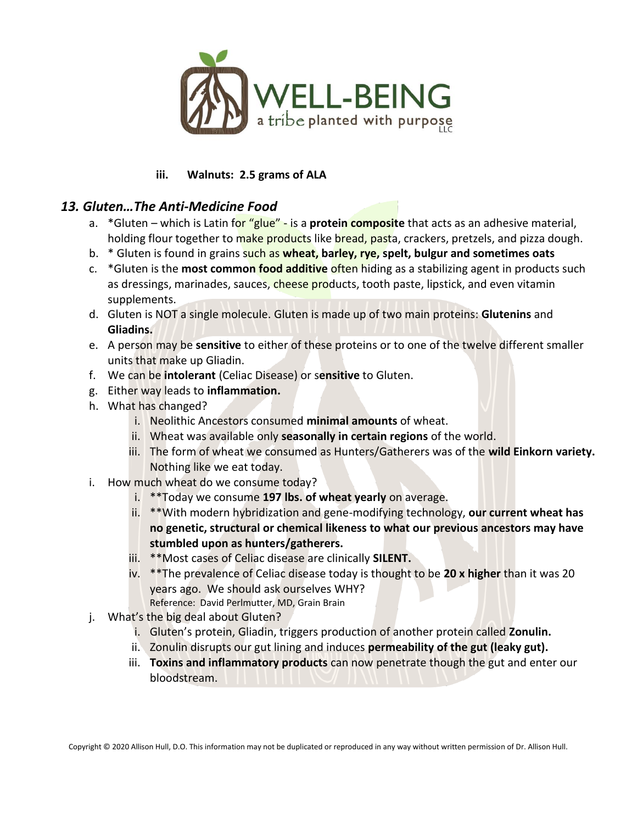

#### **iii. Walnuts: 2.5 grams of ALA**

#### *13. Gluten…The Anti-Medicine Food*

- a. \*Gluten which is Latin for "glue" is a **protein composite** that acts as an adhesive material, holding flour together to make products like bread, pasta, crackers, pretzels, and pizza dough.
- b. \* Gluten is found in grains such as **wheat, barley, rye, spelt, bulgur and sometimes oats**
- c. \*Gluten is the **most common food additive** often hiding as a stabilizing agent in products such as dressings, marinades, sauces, cheese products, tooth paste, lipstick, and even vitamin supplements.
- d. Gluten is NOT a single molecule. Gluten is made up of two main proteins: **Glutenins** and **Gliadins.**
- e. A person may be **sensitive** to either of these proteins or to one of the twelve different smaller units that make up Gliadin.
- f. We can be **intolerant** (Celiac Disease) or s**ensitive** to Gluten.
- g. Either way leads to **inflammation.**
- h. What has changed?
	- i. Neolithic Ancestors consumed **minimal amounts** of wheat.
	- ii. Wheat was available only **seasonally in certain regions** of the world.
	- iii. The form of wheat we consumed as Hunters/Gatherers was of the **wild Einkorn variety.** Nothing like we eat today.
- i. How much wheat do we consume today?
	- i. \*\*Today we consume **197 lbs. of wheat yearly** on average.
	- ii. \*\*With modern hybridization and gene-modifying technology, **our current wheat has no genetic, structural or chemical likeness to what our previous ancestors may have stumbled upon as hunters/gatherers.**
	- iii. \*\*Most cases of Celiac disease are clinically **SILENT.**
	- iv. \*\*The prevalence of Celiac disease today is thought to be **20 x higher** than it was 20 years ago. We should ask ourselves WHY? Reference: David Perlmutter, MD, Grain Brain
- j. What's the big deal about Gluten?
	- i. Gluten's protein, Gliadin, triggers production of another protein called **Zonulin.**
	- ii. Zonulin disrupts our gut lining and induces **permeability of the gut (leaky gut).**
	- iii. **Toxins and inflammatory products** can now penetrate though the gut and enter our bloodstream.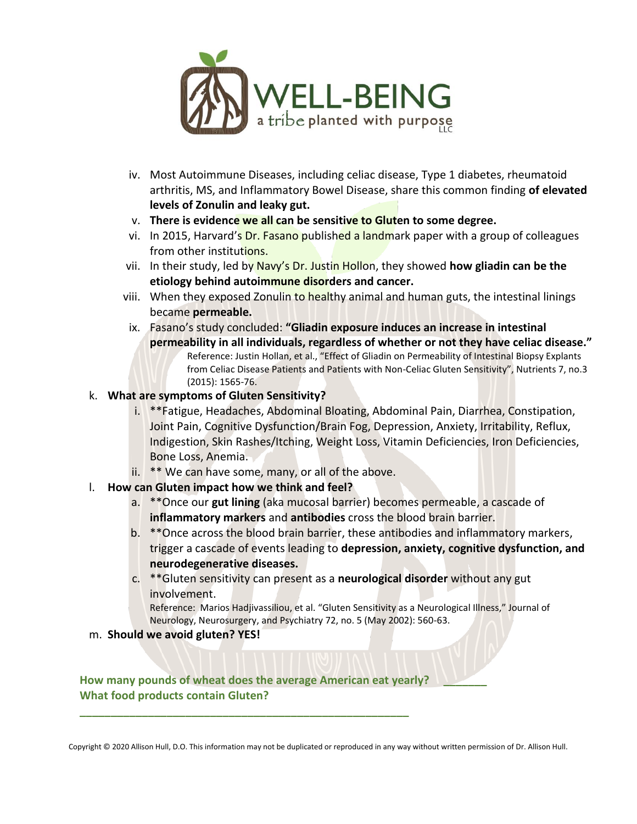

- iv. Most Autoimmune Diseases, including celiac disease, Type 1 diabetes, rheumatoid arthritis, MS, and Inflammatory Bowel Disease, share this common finding **of elevated levels of Zonulin and leaky gut.**
- v. **There is evidence we all can be sensitive to Gluten to some degree.**
- vi. In 2015, Harvard's Dr. Fasano published a landmark paper with a group of colleagues from other institutions.
- vii. In their study, led by Navy's Dr. Justin Hollon, they showed **how gliadin can be the etiology behind autoimmune disorders and cancer.**
- viii. When they exposed Zonulin to healthy animal and human guts, the intestinal linings became **permeable.**
- ix. Fasano's study concluded: **"Gliadin exposure induces an increase in intestinal permeability in all individuals, regardless of whether or not they have celiac disease."** Reference: Justin Hollan, et al., "Effect of Gliadin on Permeability of Intestinal Biopsy Explants from Celiac Disease Patients and Patients with Non-Celiac Gluten Sensitivity", Nutrients 7, no.3 (2015): 1565-76.

#### k. **What are symptoms of Gluten Sensitivity?**

- i. \*\*Fatigue, Headaches, Abdominal Bloating, Abdominal Pain, Diarrhea, Constipation, Joint Pain, Cognitive Dysfunction/Brain Fog, Depression, Anxiety, Irritability, Reflux, Indigestion, Skin Rashes/Itching, Weight Loss, Vitamin Deficiencies, Iron Deficiencies, Bone Loss, Anemia.
- ii. \*\* We can have some, many, or all of the above.
- l. **How can Gluten impact how we think and feel?** 
	- a. \*\*Once our **gut lining** (aka mucosal barrier) becomes permeable, a cascade of **inflammatory markers** and **antibodies** cross the blood brain barrier.
	- b. \*\*Once across the blood brain barrier, these antibodies and inflammatory markers, trigger a cascade of events leading to **depression, anxiety, cognitive dysfunction, and neurodegenerative diseases.**
	- c. \*\*Gluten sensitivity can present as a **neurological disorder** without any gut involvement.

Reference: Marios Hadjivassiliou, et al. "Gluten Sensitivity as a Neurological Illness," Journal of Neurology, Neurosurgery, and Psychiatry 72, no. 5 (May 2002): 560-63.

m. **Should we avoid gluten? YES!** 

**How many pounds of wheat does the average American eat yearly? \_\_\_\_\_\_\_ What food products contain Gluten?** 

**\_\_\_\_\_\_\_\_\_\_\_\_\_\_\_\_\_\_\_\_\_\_\_\_\_\_\_\_\_\_\_\_\_\_\_\_\_\_\_\_\_\_\_\_\_\_\_\_\_\_\_\_\_**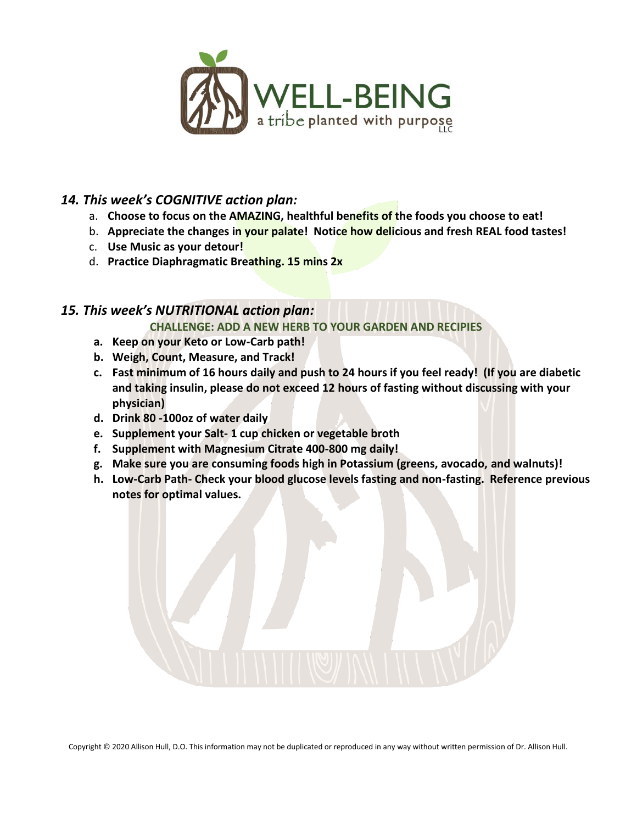

# *14. This week's COGNITIVE action plan:*

- a. **Choose to focus on the AMAZING, healthful benefits of the foods you choose to eat!**
- b. **Appreciate the changes in your palate! Notice how delicious and fresh REAL food tastes!**
- c. **Use Music as your detour!**
- d. **Practice Diaphragmatic Breathing. 15 mins 2x**

## *15. This week's NUTRITIONAL action plan:*

**CHALLENGE: ADD A NEW HERB TO YOUR GARDEN AND RECIPIES**

- **a. Keep on your Keto or Low-Carb path!**
- **b. Weigh, Count, Measure, and Track!**
- **c. Fast minimum of 16 hours daily and push to 24 hours if you feel ready! (If you are diabetic and taking insulin, please do not exceed 12 hours of fasting without discussing with your physician)**
- **d. Drink 80 -100oz of water daily**
- **e. Supplement your Salt- 1 cup chicken or vegetable broth**
- **f. Supplement with Magnesium Citrate 400-800 mg daily!**
- **g. Make sure you are consuming foods high in Potassium (greens, avocado, and walnuts)!**
- **h. Low-Carb Path- Check your blood glucose levels fasting and non-fasting. Reference previous notes for optimal values.**



Copyright © 2020 Allison Hull, D.O. This information may not be duplicated or reproduced in any way without written permission of Dr. Allison Hull.